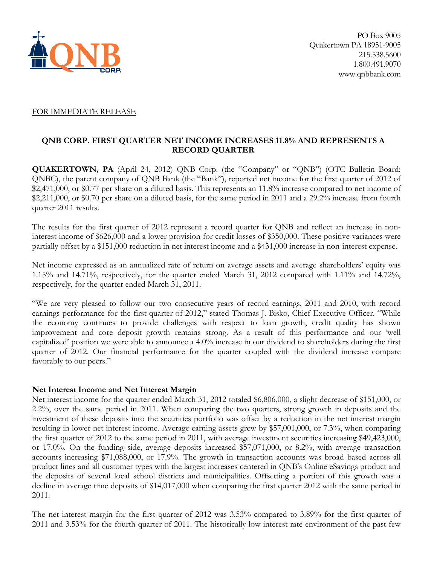

#### FOR IMMEDIATE RELEASE

#### **QNB CORP. FIRST QUARTER NET INCOME INCREASES 11.8% AND REPRESENTS A RECORD QUARTER**

**QUAKERTOWN, PA** (April 24, 2012) QNB Corp. (the "Company" or "QNB") (OTC Bulletin Board: QNBC), the parent company of QNB Bank (the "Bank"), reported net income for the first quarter of 2012 of \$2,471,000, or \$0.77 per share on a diluted basis. This represents an 11.8% increase compared to net income of \$2,211,000, or \$0.70 per share on a diluted basis, for the same period in 2011 and a 29.2% increase from fourth quarter 2011 results.

The results for the first quarter of 2012 represent a record quarter for QNB and reflect an increase in noninterest income of \$626,000 and a lower provision for credit losses of \$350,000. These positive variances were partially offset by a \$151,000 reduction in net interest income and a \$431,000 increase in non-interest expense.

Net income expressed as an annualized rate of return on average assets and average shareholders' equity was 1.15% and 14.71%, respectively, for the quarter ended March 31, 2012 compared with 1.11% and 14.72%, respectively, for the quarter ended March 31, 2011.

"We are very pleased to follow our two consecutive years of record earnings, 2011 and 2010, with record earnings performance for the first quarter of 2012," stated Thomas J. Bisko, Chief Executive Officer. "While the economy continues to provide challenges with respect to loan growth, credit quality has shown improvement and core deposit growth remains strong. As a result of this performance and our 'well capitalized' position we were able to announce a 4.0% increase in our dividend to shareholders during the first quarter of 2012. Our financial performance for the quarter coupled with the dividend increase compare favorably to our peers."

#### **Net Interest Income and Net Interest Margin**

Net interest income for the quarter ended March 31, 2012 totaled \$6,806,000, a slight decrease of \$151,000, or 2.2%, over the same period in 2011. When comparing the two quarters, strong growth in deposits and the investment of these deposits into the securities portfolio was offset by a reduction in the net interest margin resulting in lower net interest income. Average earning assets grew by \$57,001,000, or 7.3%, when comparing the first quarter of 2012 to the same period in 2011, with average investment securities increasing \$49,423,000, or 17.0%. On the funding side, average deposits increased \$57,071,000, or 8.2%, with average transaction accounts increasing \$71,088,000, or 17.9%. The growth in transaction accounts was broad based across all product lines and all customer types with the largest increases centered in QNB's Online eSavings product and the deposits of several local school districts and municipalities. Offsetting a portion of this growth was a decline in average time deposits of \$14,017,000 when comparing the first quarter 2012 with the same period in 2011.

The net interest margin for the first quarter of 2012 was 3.53% compared to 3.89% for the first quarter of 2011 and 3.53% for the fourth quarter of 2011. The historically low interest rate environment of the past few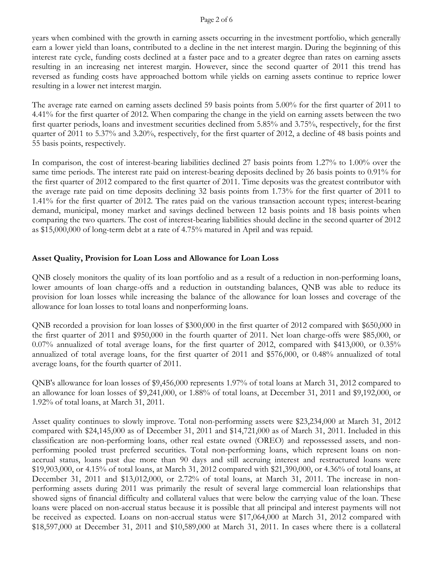#### Page 2 of 6

years when combined with the growth in earning assets occurring in the investment portfolio, which generally earn a lower yield than loans, contributed to a decline in the net interest margin. During the beginning of this interest rate cycle, funding costs declined at a faster pace and to a greater degree than rates on earning assets resulting in an increasing net interest margin. However, since the second quarter of 2011 this trend has reversed as funding costs have approached bottom while yields on earning assets continue to reprice lower resulting in a lower net interest margin.

The average rate earned on earning assets declined 59 basis points from 5.00% for the first quarter of 2011 to 4.41% for the first quarter of 2012. When comparing the change in the yield on earning assets between the two first quarter periods, loans and investment securities declined from 5.85% and 3.75%, respectively, for the first quarter of 2011 to 5.37% and 3.20%, respectively, for the first quarter of 2012, a decline of 48 basis points and 55 basis points, respectively.

In comparison, the cost of interest-bearing liabilities declined 27 basis points from 1.27% to 1.00% over the same time periods. The interest rate paid on interest-bearing deposits declined by 26 basis points to 0.91% for the first quarter of 2012 compared to the first quarter of 2011. Time deposits was the greatest contributor with the average rate paid on time deposits declining 32 basis points from 1.73% for the first quarter of 2011 to 1.41% for the first quarter of 2012. The rates paid on the various transaction account types; interest-bearing demand, municipal, money market and savings declined between 12 basis points and 18 basis points when comparing the two quarters. The cost of interest-bearing liabilities should decline in the second quarter of 2012 as \$15,000,000 of long-term debt at a rate of 4.75% matured in April and was repaid.

## **Asset Quality, Provision for Loan Loss and Allowance for Loan Loss**

QNB closely monitors the quality of its loan portfolio and as a result of a reduction in non-performing loans, lower amounts of loan charge-offs and a reduction in outstanding balances, QNB was able to reduce its provision for loan losses while increasing the balance of the allowance for loan losses and coverage of the allowance for loan losses to total loans and nonperforming loans.

QNB recorded a provision for loan losses of \$300,000 in the first quarter of 2012 compared with \$650,000 in the first quarter of 2011 and \$950,000 in the fourth quarter of 2011. Net loan charge-offs were \$85,000, or 0.07% annualized of total average loans, for the first quarter of 2012, compared with \$413,000, or 0.35% annualized of total average loans, for the first quarter of 2011 and \$576,000, or 0.48% annualized of total average loans, for the fourth quarter of 2011.

QNB's allowance for loan losses of \$9,456,000 represents 1.97% of total loans at March 31, 2012 compared to an allowance for loan losses of \$9,241,000, or 1.88% of total loans, at December 31, 2011 and \$9,192,000, or 1.92% of total loans, at March 31, 2011.

Asset quality continues to slowly improve. Total non-performing assets were \$23,234,000 at March 31, 2012 compared with \$24,145,000 as of December 31, 2011 and \$14,721,000 as of March 31, 2011. Included in this classification are non-performing loans, other real estate owned (OREO) and repossessed assets, and nonperforming pooled trust preferred securities. Total non-performing loans, which represent loans on nonaccrual status, loans past due more than 90 days and still accruing interest and restructured loans were \$19,903,000, or 4.15% of total loans, at March 31, 2012 compared with \$21,390,000, or 4.36% of total loans, at December 31, 2011 and \$13,012,000, or 2.72% of total loans, at March 31, 2011. The increase in nonperforming assets during 2011 was primarily the result of several large commercial loan relationships that showed signs of financial difficulty and collateral values that were below the carrying value of the loan. These loans were placed on non-accrual status because it is possible that all principal and interest payments will not be received as expected. Loans on non-accrual status were \$17,064,000 at March 31, 2012 compared with \$18,597,000 at December 31, 2011 and \$10,589,000 at March 31, 2011. In cases where there is a collateral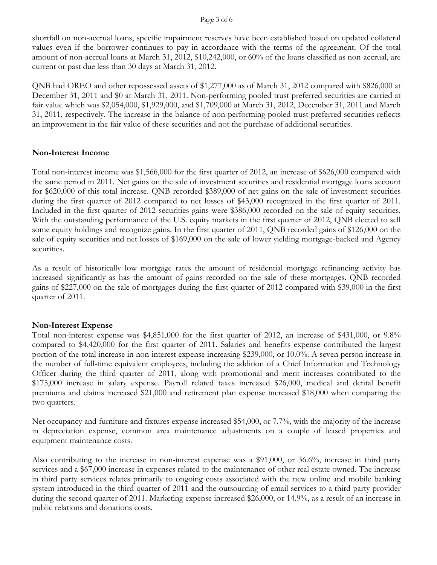#### Page 3 of 6

shortfall on non-accrual loans, specific impairment reserves have been established based on updated collateral values even if the borrower continues to pay in accordance with the terms of the agreement. Of the total amount of non-accrual loans at March 31, 2012, \$10,242,000, or 60% of the loans classified as non-accrual, are current or past due less than 30 days at March 31, 2012.

QNB had OREO and other repossessed assets of \$1,277,000 as of March 31, 2012 compared with \$826,000 at December 31, 2011 and \$0 at March 31, 2011. Non-performing pooled trust preferred securities are carried at fair value which was \$2,054,000, \$1,929,000, and \$1,709,000 at March 31, 2012, December 31, 2011 and March 31, 2011, respectively. The increase in the balance of non-performing pooled trust preferred securities reflects an improvement in the fair value of these securities and not the purchase of additional securities.

## **Non-Interest Income**

Total non-interest income was \$1,566,000 for the first quarter of 2012, an increase of \$626,000 compared with the same period in 2011. Net gains on the sale of investment securities and residential mortgage loans account for \$620,000 of this total increase. QNB recorded \$389,000 of net gains on the sale of investment securities during the first quarter of 2012 compared to net losses of \$43,000 recognized in the first quarter of 2011. Included in the first quarter of 2012 securities gains were \$386,000 recorded on the sale of equity securities. With the outstanding performance of the U.S. equity markets in the first quarter of 2012, QNB elected to sell some equity holdings and recognize gains. In the first quarter of 2011, QNB recorded gains of \$126,000 on the sale of equity securities and net losses of \$169,000 on the sale of lower yielding mortgage-backed and Agency securities.

As a result of historically low mortgage rates the amount of residential mortgage refinancing activity has increased significantly as has the amount of gains recorded on the sale of these mortgages. QNB recorded gains of \$227,000 on the sale of mortgages during the first quarter of 2012 compared with \$39,000 in the first quarter of 2011.

## **Non-Interest Expense**

Total non-interest expense was \$4,851,000 for the first quarter of 2012, an increase of \$431,000, or 9.8% compared to \$4,420,000 for the first quarter of 2011. Salaries and benefits expense contributed the largest portion of the total increase in non-interest expense increasing \$239,000, or 10.0%. A seven person increase in the number of full-time equivalent employees, including the addition of a Chief Information and Technology Officer during the third quarter of 2011, along with promotional and merit increases contributed to the \$175,000 increase in salary expense. Payroll related taxes increased \$26,000, medical and dental benefit premiums and claims increased \$21,000 and retirement plan expense increased \$18,000 when comparing the two quarters.

Net occupancy and furniture and fixtures expense increased \$54,000, or 7.7%, with the majority of the increase in depreciation expense, common area maintenance adjustments on a couple of leased properties and equipment maintenance costs.

Also contributing to the increase in non-interest expense was a \$91,000, or 36.6%, increase in third party services and a \$67,000 increase in expenses related to the maintenance of other real estate owned. The increase in third party services relates primarily to ongoing costs associated with the new online and mobile banking system introduced in the third quarter of 2011 and the outsourcing of email services to a third party provider during the second quarter of 2011. Marketing expense increased \$26,000, or 14.9%, as a result of an increase in public relations and donations costs.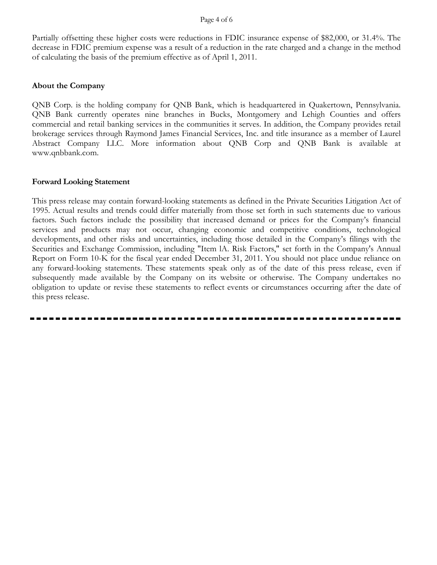Partially offsetting these higher costs were reductions in FDIC insurance expense of \$82,000, or 31.4%. The decrease in FDIC premium expense was a result of a reduction in the rate charged and a change in the method of calculating the basis of the premium effective as of April 1, 2011.

## **About the Company**

QNB Corp. is the holding company for QNB Bank, which is headquartered in Quakertown, Pennsylvania. QNB Bank currently operates nine branches in Bucks, Montgomery and Lehigh Counties and offers commercial and retail banking services in the communities it serves. In addition, the Company provides retail brokerage services through Raymond James Financial Services, Inc. and title insurance as a member of Laurel Abstract Company LLC. More information about QNB Corp and QNB Bank is available at www.qnbbank.com.

#### **Forward Looking Statement**

This press release may contain forward-looking statements as defined in the Private Securities Litigation Act of 1995. Actual results and trends could differ materially from those set forth in such statements due to various factors. Such factors include the possibility that increased demand or prices for the Company's financial services and products may not occur, changing economic and competitive conditions, technological developments, and other risks and uncertainties, including those detailed in the Company's filings with the Securities and Exchange Commission, including "Item lA. Risk Factors," set forth in the Company's Annual Report on Form 10-K for the fiscal year ended December 31, 2011. You should not place undue reliance on any forward-looking statements. These statements speak only as of the date of this press release, even if subsequently made available by the Company on its website or otherwise. The Company undertakes no obligation to update or revise these statements to reflect events or circumstances occurring after the date of this press release.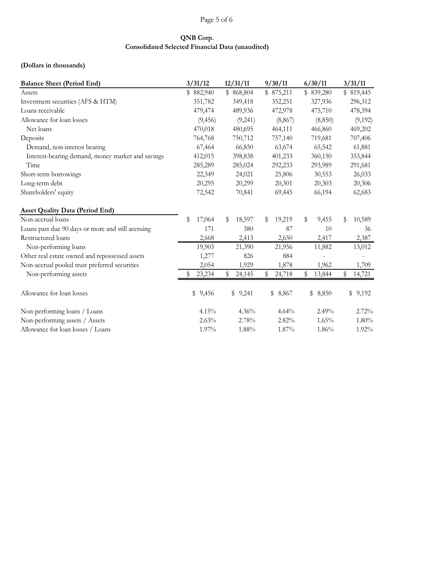## Page 5 of 6

## **QNB Corp. Consolidated Selected Financial Data (unaudited)**

## **(Dollars in thousands)**

| <b>Balance Sheet (Period End)</b>                 |             | 3/31/12   | 12/31/11 |           | 9/30/11      | 6/30/11      | 3/31/11      |
|---------------------------------------------------|-------------|-----------|----------|-----------|--------------|--------------|--------------|
| Assets                                            |             | \$882,940 |          | \$868,804 | \$875,211    | \$839,280    | \$819,445    |
| Investment securities (AFS & HTM)                 |             | 351,782   |          | 349,418   | 352,251      | 327,936      | 296,312      |
| Loans receivable                                  |             | 479,474   |          | 489,936   | 472,978      | 475,710      | 478,394      |
| Allowance for loan losses                         |             | (9, 456)  |          | (9,241)   | (8, 867)     | (8, 850)     | (9,192)      |
| Net loans                                         |             | 470,018   |          | 480,695   | 464,111      | 466,860      | 469,202      |
| Deposits                                          |             | 764,768   |          | 750,712   | 757,140      | 719,681      | 707,406      |
| Demand, non-interest bearing                      |             | 67,464    |          | 66,850    | 63,674       | 65,542       | 61,881       |
| Interest-bearing demand, money market and savings |             | 412,015   |          | 398,838   | 401,233      | 360,150      | 353,844      |
| Time                                              |             | 285,289   |          | 285,024   | 292,233      | 293,989      | 291,681      |
| Short-term borrowings                             |             | 22,349    |          | 24,021    | 25,806       | 30,553       | 26,033       |
| Long-term debt                                    |             | 20,295    |          | 20,299    | 20,301       | 20,303       | 20,306       |
| Shareholders' equity                              |             | 72,542    |          | 70,841    | 69,445       | 66,194       | 62,683       |
| <b>Asset Quality Data (Period End)</b>            |             |           |          |           |              |              |              |
| Non-accrual loans                                 | \$          | 17,064    | \$       | 18,597    | \$<br>19,219 | \$<br>9,455  | \$<br>10,589 |
| Loans past due 90 days or more and still accruing |             | 171       |          | 380       | 87           | 10           | 36           |
| Restructured loans                                |             | 2,668     |          | 2,413     | 2,650        | 2,417        | 2,387        |
| Non-performing loans                              |             | 19,903    |          | 21,390    | 21,956       | 11,882       | 13,012       |
| Other real estate owned and repossessed assets    |             | 1,277     |          | 826       | 884          |              |              |
| Non-accrual pooled trust preferred securities     |             | 2,054     |          | 1,929     | 1,878        | 1,962        | 1,709        |
| Non-performing assets                             |             | 23,234    | \$       | 24,145    | \$<br>24,718 | \$<br>13,844 | \$<br>14,721 |
| Allowance for loan losses                         | $\mathbb S$ | 9,456     |          | \$9,241   | \$<br>8,867  | \$<br>8,850  | \$9,192      |
| Non-performing loans / Loans                      |             | 4.15%     |          | 4.36%     | 4.64%        | 2.49%        | 2.72%        |
| Non-performing assets / Assets                    |             | 2.63%     |          | 2.78%     | 2.82%        | 1.65%        | 1.80%        |
| Allowance for loan losses / Loans                 |             | 1.97%     |          | 1.88%     | 1.87%        | 1.86%        | 1.92%        |